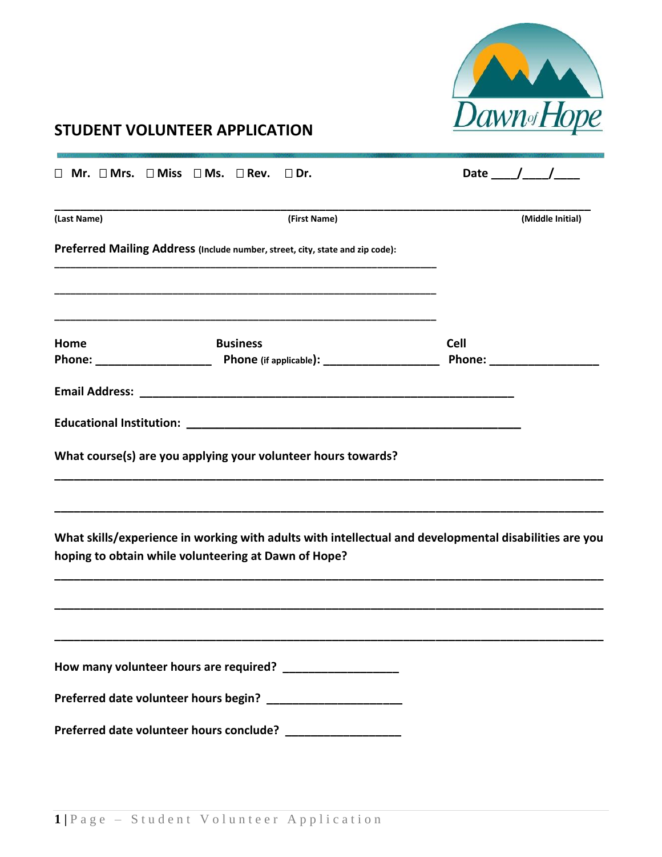

## **STUDENT VOLUNTEER APPLICATION**

|             | $\Box$ Mr. $\Box$ Mrs. $\Box$ Miss $\Box$ Ms. $\Box$ Rev.<br>$\Box$ Dr.                                                                                        | Date $\frac{\sqrt{2}}{2}$ |
|-------------|----------------------------------------------------------------------------------------------------------------------------------------------------------------|---------------------------|
| (Last Name) | (First Name)                                                                                                                                                   | (Middle Initial)          |
|             | Preferred Mailing Address (Include number, street, city, state and zip code):                                                                                  |                           |
|             |                                                                                                                                                                |                           |
| Home        | <b>Business</b>                                                                                                                                                | <b>Cell</b>               |
|             |                                                                                                                                                                |                           |
|             |                                                                                                                                                                |                           |
|             | What course(s) are you applying your volunteer hours towards?                                                                                                  |                           |
|             | What skills/experience in working with adults with intellectual and developmental disabilities are you<br>hoping to obtain while volunteering at Dawn of Hope? |                           |
|             |                                                                                                                                                                |                           |
|             |                                                                                                                                                                |                           |
|             |                                                                                                                                                                |                           |
|             | Preferred date volunteer hours conclude? __________________                                                                                                    |                           |